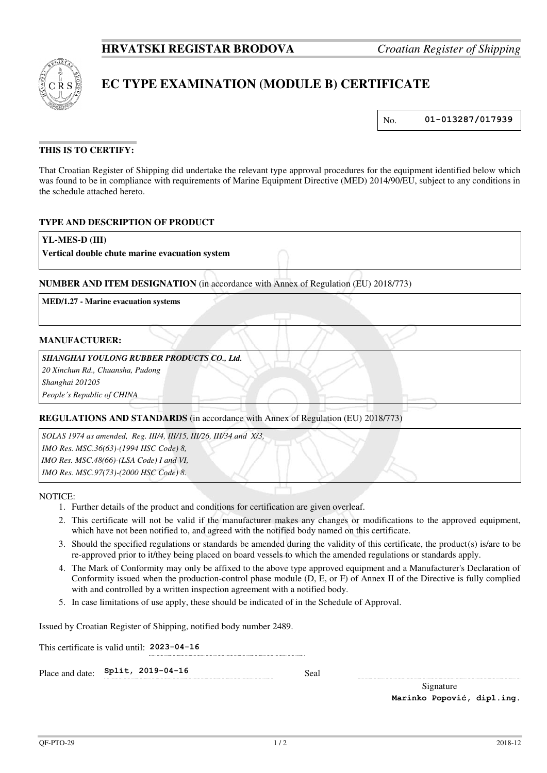

# **EC TYPE EXAMINATION (MODULE B) CERTIFICATE**

No. **01-013287/017939** 

# **THIS IS TO CERTIFY:**

That Croatian Register of Shipping did undertake the relevant type approval procedures for the equipment identified below which was found to be in compliance with requirements of Marine Equipment Directive (MED) 2014/90/EU, subject to any conditions in the schedule attached hereto.

# **TYPE AND DESCRIPTION OF PRODUCT**

### **YL-MES-D (III)**

**Vertical double chute marine evacuation system**

# **NUMBER AND ITEM DESIGNATION** (in accordance with Annex of Regulation (EU) 2018/773)

**MED/1.27 - Marine evacuation systems**

#### **MANUFACTURER:**

### *SHANGHAI YOULONG RUBBER PRODUCTS CO., Ltd.*

*20 Xinchun Rd., Chuansha, Pudong* 

*Shanghai 201205* 

*People's Republic of CHINA*

# **REGULATIONS AND STANDARDS** (in accordance with Annex of Regulation (EU) 2018/773)

*SOLAS 1974 as amended, Reg. III/4, III/15, III/26, III/34 and X/3, IMO Res. MSC.36(63)-(1994 HSC Code) 8, IMO Res. MSC.48(66)-(LSA Code) I and VI, IMO Res. MSC.97(73)-(2000 HSC Code) 8.*

NOTICE:

- 1. Further details of the product and conditions for certification are given overleaf.
- 2. This certificate will not be valid if the manufacturer makes any changes or modifications to the approved equipment, which have not been notified to, and agreed with the notified body named on this certificate.
- 3. Should the specified regulations or standards be amended during the validity of this certificate, the product(s) is/are to be re-approved prior to it/they being placed on board vessels to which the amended regulations or standards apply.
- 4. The Mark of Conformity may only be affixed to the above type approved equipment and a Manufacturer's Declaration of Conformity issued when the production-control phase module (D, E, or F) of Annex II of the Directive is fully complied with and controlled by a written inspection agreement with a notified body.
- 5. In case limitations of use apply, these should be indicated of in the Schedule of Approval.

Issued by Croatian Register of Shipping, notified body number 2489.

This certificate is valid until: **2023-04-16** 

Place and date: **Split, 2019-04-16** Seal

Signature **Marinko Popović, dipl.ing.**